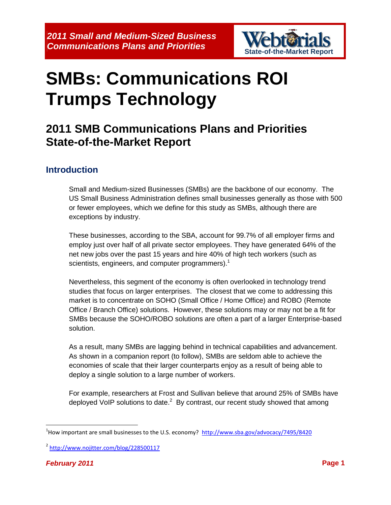

# **SMBs: Communications ROI Trumps Technology**

# **2011 SMB Communications Plans and Priorities State-of-the-Market Report**

#### **Introduction**

Small and Medium-sized Businesses (SMBs) are the backbone of our economy. The US Small Business Administration defines small businesses generally as those with 500 or fewer employees, which we define for this study as SMBs, although there are exceptions by industry.

These businesses, according to the SBA, account for 99.7% of all employer firms and employ just over half of all private sector employees. They have generated 64% of the net new jobs over the past 15 years and hire 40% of high tech workers (such as scientists, engineers, and computer programmers).<sup>1</sup>

Nevertheless, this segment of the economy is often overlooked in technology trend studies that focus on larger enterprises. The closest that we come to addressing this market is to concentrate on SOHO (Small Office / Home Office) and ROBO (Remote Office / Branch Office) solutions. However, these solutions may or may not be a fit for SMBs because the SOHO/ROBO solutions are often a part of a larger Enterprise-based solution.

As a result, many SMBs are lagging behind in technical capabilities and advancement. As shown in a companion report (to follow), SMBs are seldom able to achieve the economies of scale that their larger counterparts enjoy as a result of being able to deploy a single solution to a large number of workers.

For example, researchers at Frost and Sullivan believe that around 25% of SMBs have deployed VoIP solutions to date. $^2$  By contrast, our recent study showed that among

 $\overline{\phantom{a}}$ 

<sup>&</sup>lt;sup>1</sup>How important are small businesses to the U.S. economy? <http://www.sba.gov/advocacy/7495/8420>

<sup>&</sup>lt;sup>2</sup> <http://www.nojitter.com/blog/228500117>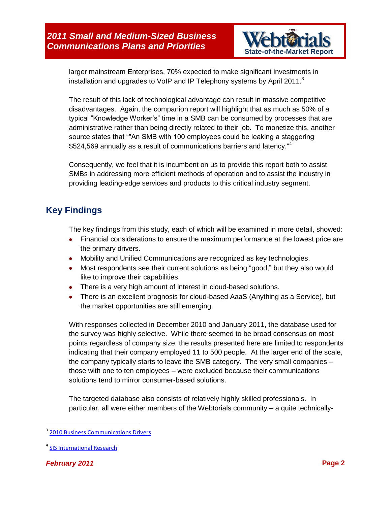

larger mainstream Enterprises, 70% expected to make significant investments in installation and upgrades to VoIP and IP Telephony systems by April 2011. $3$ 

The result of this lack of technological advantage can result in massive competitive disadvantages. Again, the companion report will highlight that as much as 50% of a typical "Knowledge Worker's" time in a SMB can be consumed by processes that are administrative rather than being directly related to their job. To monetize this, another source states that ""An SMB with 100 employees could be leaking a staggering \$524,569 annually as a result of communications barriers and latency."<sup>4</sup>

Consequently, we feel that it is incumbent on us to provide this report both to assist SMBs in addressing more efficient methods of operation and to assist the industry in providing leading-edge services and products to this critical industry segment.

## **Key Findings**

The key findings from this study, each of which will be examined in more detail, showed:

- Financial considerations to ensure the maximum performance at the lowest price are the primary drivers.
- Mobility and Unified Communications are recognized as key technologies.
- Most respondents see their current solutions as being "good," but they also would like to improve their capabilities.
- There is a very high amount of interest in cloud-based solutions.
- There is an excellent prognosis for cloud-based AaaS (Anything as a Service), but the market opportunities are still emerging.

With responses collected in December 2010 and January 2011, the database used for the survey was highly selective. While there seemed to be broad consensus on most points regardless of company size, the results presented here are limited to respondents indicating that their company employed 11 to 500 people. At the larger end of the scale, the company typically starts to leave the SMB category. The very small companies – those with one to ten employees – were excluded because their communications solutions tend to mirror consumer-based solutions.

The targeted database also consists of relatively highly skilled professionals. In particular, all were either members of the Webtorials community – a quite technically-

<sup>&</sup>lt;sup>3</sup> [2010 Business Communications Drivers](http://www.webtorials.com/content/2010/04/2009-drivers.html)

<sup>&</sup>lt;sup>4</sup> [SIS International Research](http://www.greenbook.org/marketing-research.cfm/small-midsize-business-communications-hidden-costs)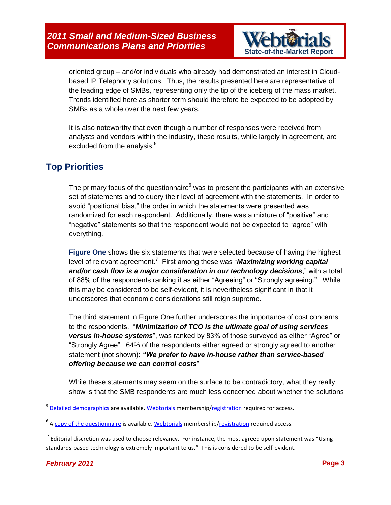*2011 Small and Medium-Sized Business*  **Communications Plans and Priorities <b>State-of-the-Market Report** 



oriented group – and/or individuals who already had demonstrated an interest in Cloudbased IP Telephony solutions. Thus, the results presented here are representative of the leading edge of SMBs, representing only the tip of the iceberg of the mass market. Trends identified here as shorter term should therefore be expected to be adopted by SMBs as a whole over the next few years.

It is also noteworthy that even though a number of responses were received from analysts and vendors within the industry, these results, while largely in agreement, are excluded from the analysis. $5$ 

#### **Top Priorities**

The primary focus of the questionnaire $6$  was to present the participants with an extensive set of statements and to query their level of agreement with the statements. In order to avoid "positional bias," the order in which the statements were presented was randomized for each respondent. Additionally, there was a mixture of "positive" and "negative" statements so that the respondent would not be expected to "agree" with everything.

**Figure One** shows the six statements that were selected because of having the highest level of relevant agreement.<sup>7</sup> First among these was "**Maximizing working capital** *and/or cash flow is a major consideration in our technology decisions*," with a total of 88% of the respondents ranking it as either "Agreeing" or "Strongly agreeing." While this may be considered to be self-evident, it is nevertheless significant in that it underscores that economic considerations still reign supreme.

The third statement in Figure One further underscores the importance of cost concerns to the respondents. "*Minimization of TCO is the ultimate goal of using services versus in-house systems*", was ranked by 83% of those surveyed as either "Agree" or "Strongly Agree". 64% of the respondents either agreed or strongly agreed to another statement (not shown): *"We prefer to have in-house rather than service-based offering because we can control costs*"

While these statements may seem on the surface to be contradictory, what they really show is that the SMB respondents are much less concerned about whether the solutions

 5 [Detailed demographics](http://www.webtorials.com/main/resource/papers/webtorials/2011-SMB-Priorities/questionnaire.pdf) are available. [Webtorials](http://www.webtorials.com/content/) membership[/registration](http://www.webtorials.com/reg/) required for access.

<sup>&</sup>lt;sup>6</sup> [A copy of the questionnaire](http://www.webtorials.com/main/resource/papers/webtorials/2011-SMB-Priorities/demographics.pdf) is available[. Webtorials](http://www.webtorials.com/content/) membership[/registration](http://www.webtorials.com/reg/) required access.

 $^7$  Editorial discretion was used to choose relevancy. For instance, the most agreed upon statement was "Using standards-based technology is extremely important to us." This is considered to be self-evident.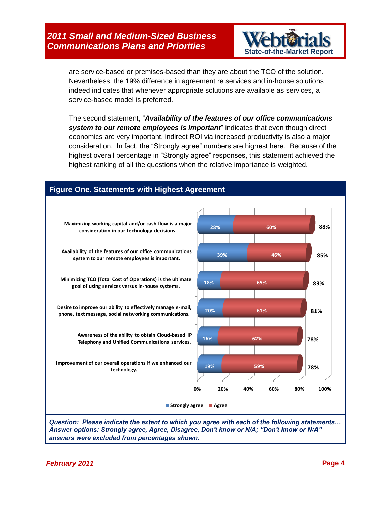

are service-based or premises-based than they are about the TCO of the solution. Nevertheless, the 19% difference in agreement re services and in-house solutions indeed indicates that whenever appropriate solutions are available as services, a service-based model is preferred.

The second statement, "*Availability of the features of our office communications system to our remote employees is important*" indicates that even though direct economics are very important, indirect ROI via increased productivity is also a major consideration. In fact, the "Strongly agree" numbers are highest here. Because of the highest overall percentage in "Strongly agree" responses, this statement achieved the highest ranking of all the questions when the relative importance is weighted.

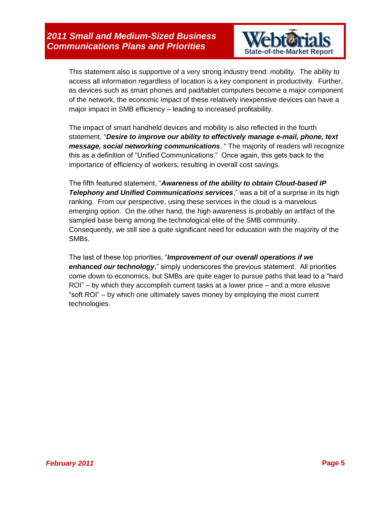

This statement also is supportive of a very strong industry trend: mobility. The ability to access all information regardless of location is a key component in productivity. Further, as devices such as smart phones and pad/tablet computers become a major component of the network, the economic impact of these relatively inexpensive devices can have a major impact in SMB efficiency – leading to increased profitability.

The impact of smart handheld devices and mobility is also reflected in the fourth statement, "*Desire to improve our ability to effectively manage e-mail, phone, text message, social networking communications*. " The majority of readers will recognize this as a definition of "Unified Communications." Once again, this gets back to the importance of efficiency of workers, resulting in overall cost savings.

The fifth featured statement, "*Awareness of the ability to obtain Cloud-based IP Telephony and Unified Communications services*," was a bit of a surprise in its high ranking. From our perspective, using these services in the cloud is a marvelous emerging option. On the other hand, the high awareness is probably an artifact of the sampled base being among the technological elite of the SMB community. Consequently, we still see a quite significant need for education with the majority of the SMBs.

The last of these top priorities, "*Improvement of our overall operations if we enhanced our technology*," simply underscores the previous statement. All priorities come down to economics, but SMBs are quite eager to pursue paths that lead to a "hard ROI" – by which they accomplish current tasks at a lower price – and a more elusive "soft ROI" – by which one ultimately saves money by employing the most current technologies.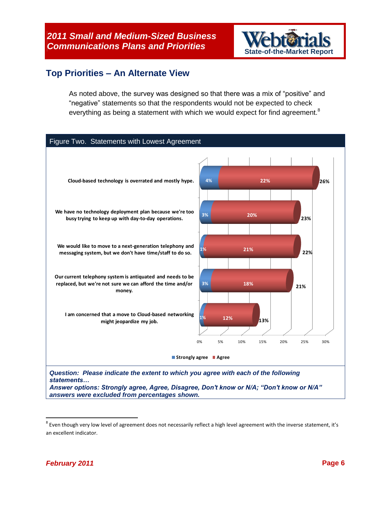

#### **Top Priorities – An Alternate View**

As noted above, the survey was designed so that there was a mix of "positive" and "negative" statements so that the respondents would not be expected to check everything as being a statement with which we would expect for find agreement.<sup>8</sup>



 $^8$  Even though very low level of agreement does not necessarily reflect a high level agreement with the inverse statement, it's an excellent indicator.

 $\overline{a}$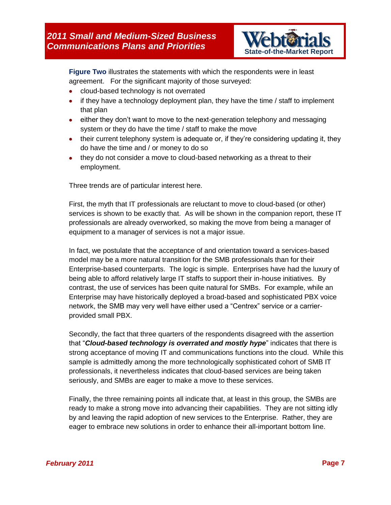

**Figure Two** illustrates the statements with which the respondents were in least agreement. For the significant majority of those surveyed:

- cloud-based technology is not overrated
- $\bullet$  if they have a technology deployment plan, they have the time / staff to implement that plan
- either they don't want to move to the next-generation telephony and messaging system or they do have the time / staff to make the move
- their current telephony system is adequate or, if they're considering updating it, they do have the time and / or money to do so
- they do not consider a move to cloud-based networking as a threat to their employment.

Three trends are of particular interest here.

First, the myth that IT professionals are reluctant to move to cloud-based (or other) services is shown to be exactly that. As will be shown in the companion report, these IT professionals are already overworked, so making the move from being a manager of equipment to a manager of services is not a major issue.

In fact, we postulate that the acceptance of and orientation toward a services-based model may be a more natural transition for the SMB professionals than for their Enterprise-based counterparts. The logic is simple. Enterprises have had the luxury of being able to afford relatively large IT staffs to support their in-house initiatives. By contrast, the use of services has been quite natural for SMBs. For example, while an Enterprise may have historically deployed a broad-based and sophisticated PBX voice network, the SMB may very well have either used a "Centrex" service or a carrierprovided small PBX.

Secondly, the fact that three quarters of the respondents disagreed with the assertion that "*Cloud-based technology is overrated and mostly hype*" indicates that there is strong acceptance of moving IT and communications functions into the cloud. While this sample is admittedly among the more technologically sophisticated cohort of SMB IT professionals, it nevertheless indicates that cloud-based services are being taken seriously, and SMBs are eager to make a move to these services.

Finally, the three remaining points all indicate that, at least in this group, the SMBs are ready to make a strong move into advancing their capabilities. They are not sitting idly by and leaving the rapid adoption of new services to the Enterprise. Rather, they are eager to embrace new solutions in order to enhance their all-important bottom line.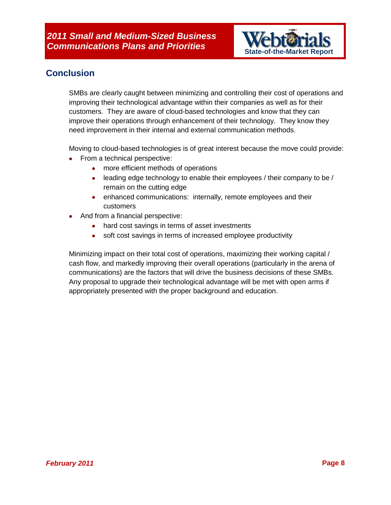

## **Conclusion**

SMBs are clearly caught between minimizing and controlling their cost of operations and improving their technological advantage within their companies as well as for their customers. They are aware of cloud-based technologies and know that they can improve their operations through enhancement of their technology. They know they need improvement in their internal and external communication methods.

Moving to cloud-based technologies is of great interest because the move could provide:

- From a technical perspective:
	- more efficient methods of operations
	- leading edge technology to enable their employees / their company to be / remain on the cutting edge
	- **•** enhanced communications: internally, remote employees and their customers
- And from a financial perspective:
	- hard cost savings in terms of asset investments
	- soft cost savings in terms of increased employee productivity

Minimizing impact on their total cost of operations, maximizing their working capital / cash flow, and markedly improving their overall operations (particularly in the arena of communications) are the factors that will drive the business decisions of these SMBs. Any proposal to upgrade their technological advantage will be met with open arms if appropriately presented with the proper background and education.